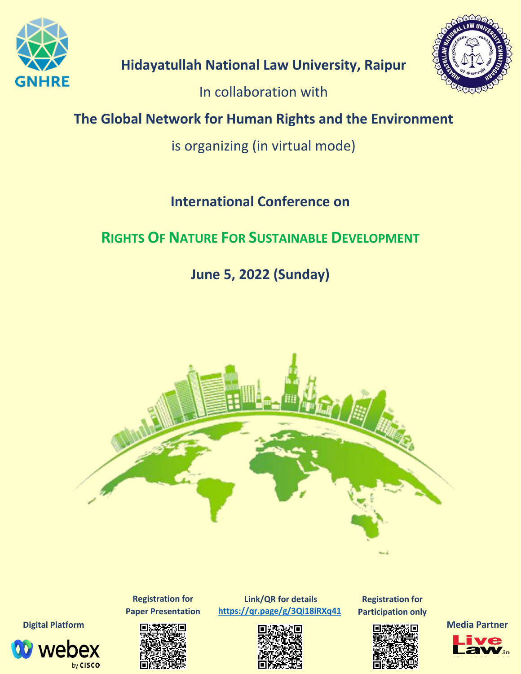

**Hidayatullah National Law University, Raipur**

In collaboration with

# **The Global Network for Human Rights and the Environment**

is organizing (in virtual mode)

# **International Conference on**

# **RIGHTS OF NATURE FOR SUSTAINABLE DEVELOPMENT**

**June 5, 2022 (Sunday)**



**Registration for Paper Presentation**

*V* webex

by CISCO

**Link/QR for details <https://qr.page/g/3Qi18iRXq41>**



**Registration for Participation only**



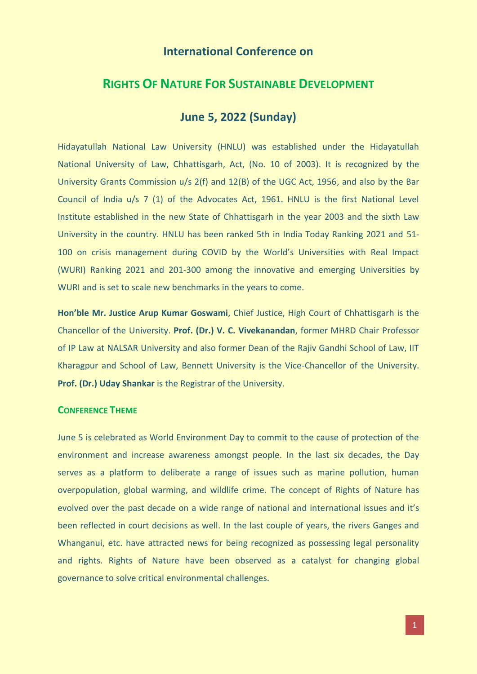# **International Conference on**

# **RIGHTS OF NATURE FOR SUSTAINABLE DEVELOPMENT**

# **June 5, 2022 (Sunday)**

Hidayatullah National Law University (HNLU) was established under the Hidayatullah National University of Law, Chhattisgarh, Act, (No. 10 of 2003). It is recognized by the University Grants Commission u/s 2(f) and 12(B) of the UGC Act, 1956, and also by the Bar Council of India u/s 7 (1) of the Advocates Act, 1961. HNLU is the first National Level Institute established in the new State of Chhattisgarh in the year 2003 and the sixth Law University in the country. HNLU has been ranked 5th in India Today Ranking 2021 and 51- 100 on crisis management during COVID by the World's Universities with Real Impact (WURI) Ranking 2021 and 201-300 among the innovative and emerging Universities by WURI and is set to scale new benchmarks in the years to come.

**Hon'ble Mr. Justice Arup Kumar Goswami**, Chief Justice, High Court of Chhattisgarh is the Chancellor of the University. **Prof. (Dr.) V. C. Vivekanandan**, former MHRD Chair Professor of IP Law at NALSAR University and also former Dean of the Rajiv Gandhi School of Law, IIT Kharagpur and School of Law, Bennett University is the Vice-Chancellor of the University. **Prof. (Dr.) Uday Shankar** is the Registrar of the University.

## **CONFERENCE THEME**

June 5 is celebrated as World Environment Day to commit to the cause of protection of the environment and increase awareness amongst people. In the last six decades, the Day serves as a platform to deliberate a range of issues such as marine pollution, human overpopulation, global warming, and wildlife crime. The concept of Rights of Nature has evolved over the past decade on a wide range of national and international issues and it's been reflected in court decisions as well. In the last couple of years, the rivers Ganges and Whanganui, etc. have attracted news for being recognized as possessing legal personality and rights. Rights of Nature have been observed as a catalyst for changing global governance to solve critical environmental challenges.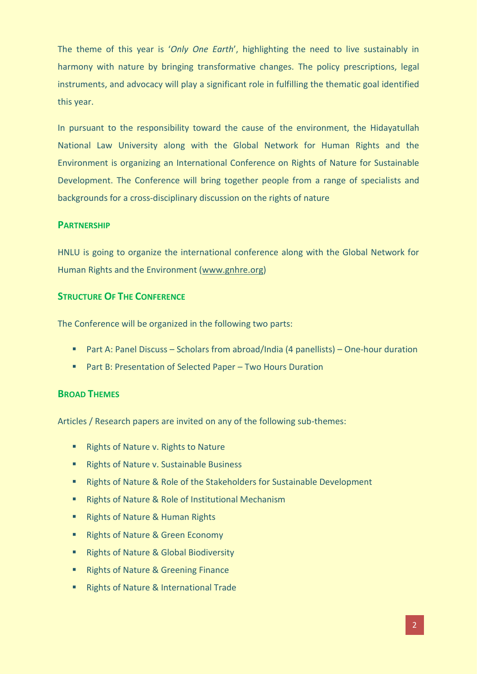The theme of this year is '*Only One Earth*', highlighting the need to live sustainably in harmony with nature by bringing transformative changes. The policy prescriptions, legal instruments, and advocacy will play a significant role in fulfilling the thematic goal identified this year.

In pursuant to the responsibility toward the cause of the environment, the Hidayatullah National Law University along with the Global Network for Human Rights and the Environment is organizing an International Conference on Rights of Nature for Sustainable Development. The Conference will bring together people from a range of specialists and backgrounds for a cross-disciplinary discussion on the rights of nature

#### **PARTNERSHIP**

HNLU is going to organize the international conference along with the Global Network for Human Rights and the Environment [\(www.gnhre.org\)](http://www.gnhre.org/)

### **STRUCTURE OF THE CONFERENCE**

The Conference will be organized in the following two parts:

- Part A: Panel Discuss Scholars from abroad/India (4 panellists) One-hour duration
- Part B: Presentation of Selected Paper Two Hours Duration

#### **BROAD THEMES**

Articles / Research papers are invited on any of the following sub-themes:

- **Rights of Nature v. Rights to Nature**
- **Rights of Nature v. Sustainable Business**
- Rights of Nature & Role of the Stakeholders for Sustainable Development
- Rights of Nature & Role of Institutional Mechanism
- **Rights of Nature & Human Rights**
- Rights of Nature & Green Economy
- **Rights of Nature & Global Biodiversity**
- **Rights of Nature & Greening Finance**
- **Rights of Nature & International Trade**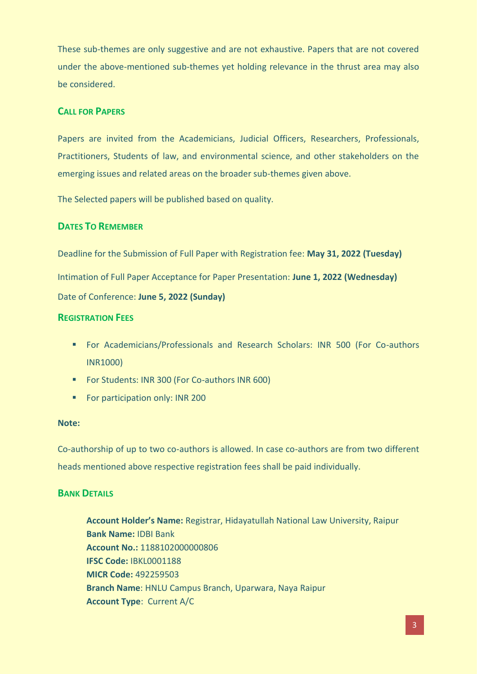These sub-themes are only suggestive and are not exhaustive. Papers that are not covered under the above-mentioned sub-themes yet holding relevance in the thrust area may also be considered.

# **CALL FOR PAPERS**

Papers are invited from the Academicians, Judicial Officers, Researchers, Professionals, Practitioners, Students of law, and environmental science, and other stakeholders on the emerging issues and related areas on the broader sub-themes given above.

The Selected papers will be published based on quality.

### **DATES TO REMEMBER**

Deadline for the Submission of Full Paper with Registration fee: **May 31, 2022 (Tuesday)** Intimation of Full Paper Acceptance for Paper Presentation: **June 1, 2022 (Wednesday)** Date of Conference: **June 5, 2022 (Sunday)**

### **REGISTRATION FEES**

- **For Academicians/Professionals and Research Scholars: INR 500 (For Co-authors** INR1000)
- **For Students: INR 300 (For Co-authors INR 600)**
- **For participation only: INR 200**

#### **Note:**

Co-authorship of up to two co-authors is allowed. In case co-authors are from two different heads mentioned above respective registration fees shall be paid individually.

#### **BANK DETAILS**

**Account Holder's Name:** Registrar, Hidayatullah National Law University, Raipur **Bank Name:** IDBI Bank **Account No.:** 1188102000000806 **IFSC Code:** IBKL0001188 **MICR Code:** 492259503 **Branch Name**: HNLU Campus Branch, Uparwara, Naya Raipur **Account Type**: Current A/C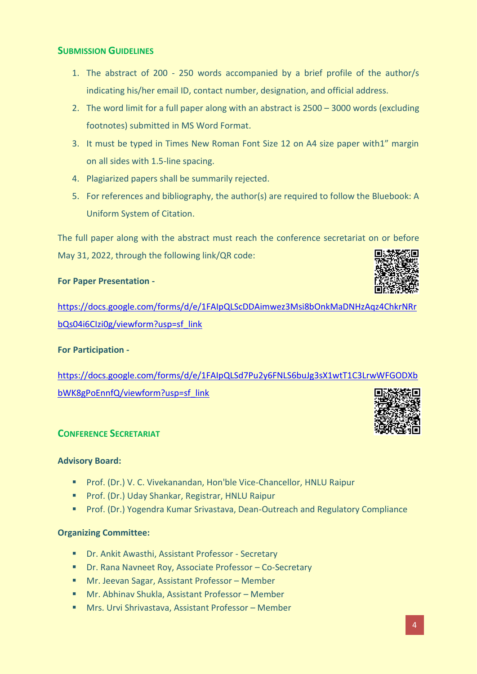## **SUBMISSION GUIDELINES**

- 1. The abstract of 200 250 words accompanied by a brief profile of the author/s indicating his/her email ID, contact number, designation, and official address.
- 2. The word limit for a full paper along with an abstract is 2500 3000 words (excluding footnotes) submitted in MS Word Format.
- 3. It must be typed in Times New Roman Font Size 12 on A4 size paper with1" margin on all sides with 1.5-line spacing.
- 4. Plagiarized papers shall be summarily rejected.
- 5. For references and bibliography, the author(s) are required to follow the Bluebook: A Uniform System of Citation.

The full paper along with the abstract must reach the conference secretariat on or before May 31, 2022, through the following link/QR code:

### **For Paper Presentation -**

[https://docs.google.com/forms/d/e/1FAIpQLScDDAimwez3Msi8bOnkMaDNHzAqz4ChkrNRr](https://docs.google.com/forms/d/e/1FAIpQLScDDAimwez3Msi8bOnkMaDNHzAqz4ChkrNRrbQs04i6CIzi0g/viewform?usp=sf_link) [bQs04i6CIzi0g/viewform?usp=sf\\_link](https://docs.google.com/forms/d/e/1FAIpQLScDDAimwez3Msi8bOnkMaDNHzAqz4ChkrNRrbQs04i6CIzi0g/viewform?usp=sf_link)

#### **For Participation -**

[https://docs.google.com/forms/d/e/1FAIpQLSd7Pu2y6FNLS6buJg3sX1wtT1C3LrwWFGODXb](https://docs.google.com/forms/d/e/1FAIpQLSd7Pu2y6FNLS6buJg3sX1wtT1C3LrwWFGODXbbWK8gPoEnnfQ/viewform?usp=sf_link) [bWK8gPoEnnfQ/viewform?usp=sf\\_link](https://docs.google.com/forms/d/e/1FAIpQLSd7Pu2y6FNLS6buJg3sX1wtT1C3LrwWFGODXbbWK8gPoEnnfQ/viewform?usp=sf_link)

## **CONFERENCE SECRETARIAT**

#### **Advisory Board:**

- **Prof. (Dr.) V. C. Vivekanandan, Hon'ble Vice-Chancellor, HNLU Raipur**
- **Prof. (Dr.) Uday Shankar, Registrar, HNLU Raipur**
- **Prof.** (Dr.) Yogendra Kumar Srivastava, Dean-Outreach and Regulatory Compliance

#### **Organizing Committee:**

- Dr. Ankit Awasthi, Assistant Professor Secretary
- Dr. Rana Navneet Roy, Associate Professor Co-Secretary
- Mr. Jeevan Sagar, Assistant Professor Member
- Mr. Abhinav Shukla, Assistant Professor Member
- **Mrs. Urvi Shrivastava, Assistant Professor Member**